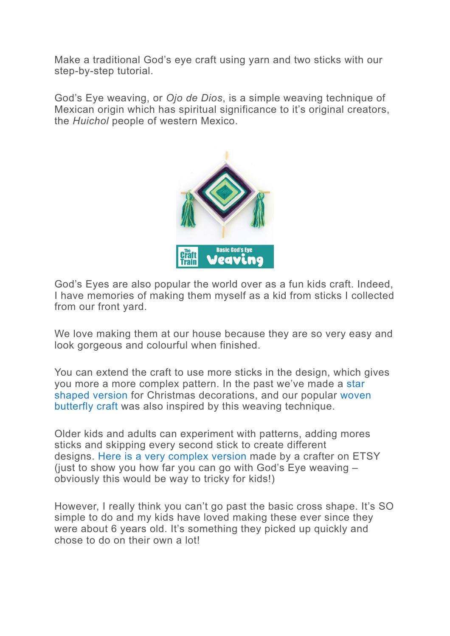Make a traditional God's eye craft using yarn and two sticks with our step-by-step tutorial.

God's Eye weaving, or *Ojo de Dios*, is a simple weaving technique of Mexican origin which has spiritual significance to it's original creators, the *Huichol* people of western Mexico.



God's Eyes are also popular the world over as a fun kids craft. Indeed, I have memories of making them myself as a kid from sticks I collected from our front yard.

We love making them at our house because they are so very easy and look gorgeous and colourful when finished.

You can extend the craft to use more sticks in the design, which gives you more a more complex pattern. In the past we've made a [star](https://www.thecrafttrain.com/yarn-stars/)  [shaped version](https://www.thecrafttrain.com/yarn-stars/) for Christmas decorations, and our popular [woven](https://www.thecrafttrain.com/woven-craft-stick-butterflies/)  [butterfly craft](https://www.thecrafttrain.com/woven-craft-stick-butterflies/) was also inspired by this weaving technique.

Older kids and adults can experiment with patterns, adding mores sticks and skipping every second stick to create different designs. [Here is a very complex version](http://tidd.ly/13d5db27) made by a crafter on ETSY (just to show you how far you can go with God's Eye weaving – obviously this would be way to tricky for kids!)

However, I really think you can't go past the basic cross shape. It's SO simple to do and my kids have loved making these ever since they were about 6 years old. It's something they picked up quickly and chose to do on their own a lot!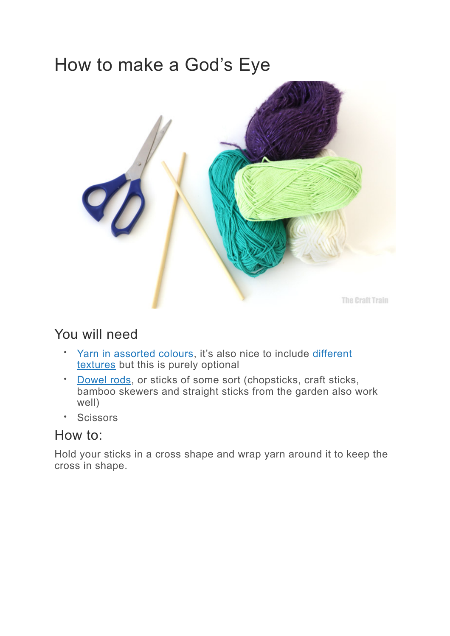## How to make a God's Eye



## You will need

- [Yarn in assorted colours](https://www.amazon.com/Mind-My-Thread-Assorted-Knitting/dp/B071GLDW4T/ref=as_li_ss_tl?keywords=yarn+pack&qid=1569788665&s=gateway&sr=8-8&linkCode=sl1&tag=thecratra0b-20&linkId=83c0fdcb25f19560031230b308e8a32d&language=en_US), it's also nice to include [different](https://www.amazon.com/Lion-Brand-Yarn-545-201-Landscapes/dp/B00KKVA7AM/ref=as_li_ss_tl?crid=2DI68JCHQ9QR2&keywords=textured+yarn+for+weaving&qid=1569789914&s=gateway&sprefix=textured+yarn,aps,458&sr=8-32&linkCode=sl1&tag=thecratra0b-20&linkId=40093706e178181b5cecdc7dda8cc180&language=en_US)  [textures](https://www.amazon.com/Lion-Brand-Yarn-545-201-Landscapes/dp/B00KKVA7AM/ref=as_li_ss_tl?crid=2DI68JCHQ9QR2&keywords=textured+yarn+for+weaving&qid=1569789914&s=gateway&sprefix=textured+yarn,aps,458&sr=8-32&linkCode=sl1&tag=thecratra0b-20&linkId=40093706e178181b5cecdc7dda8cc180&language=en_US) but this is purely optional
- [Dowel rods](https://www.amazon.com/Wooden-Unfinished-Hardwood-Sticks-Crafts/dp/B01BGZJH74/ref=as_li_ss_tl?keywords=dowel+rods&qid=1569788517&s=gateway&sr=8-4&linkCode=sl1&tag=thecratra0b-20&linkId=c6baac1550e3c5eb4f9744df6d5ae5e6&language=en_US), or sticks of some sort (chopsticks, craft sticks, bamboo skewers and straight sticks from the garden also work well)
- Scissors

## How to:

Hold your sticks in a cross shape and wrap yarn around it to keep the cross in shape.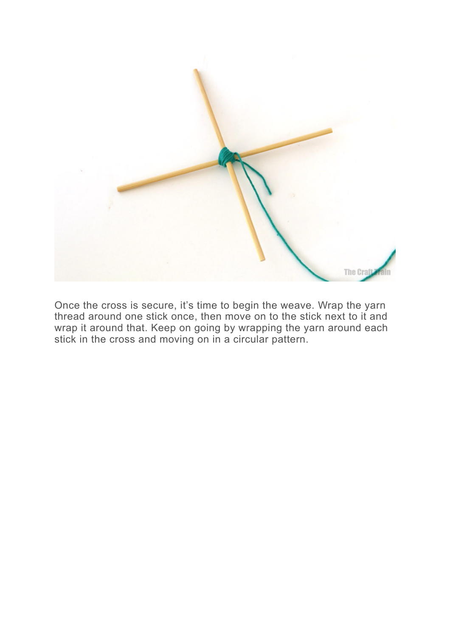

Once the cross is secure, it's time to begin the weave. Wrap the yarn thread around one stick once, then move on to the stick next to it and wrap it around that. Keep on going by wrapping the yarn around each stick in the cross and moving on in a circular pattern.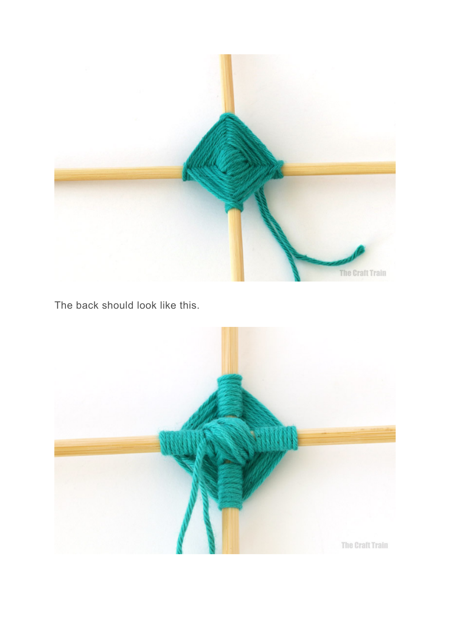

The back should look like this.

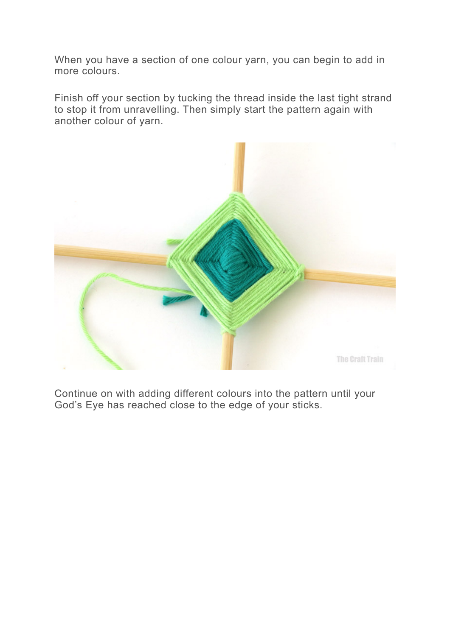When you have a section of one colour yarn, you can begin to add in more colours.

Finish off your section by tucking the thread inside the last tight strand to stop it from unravelling. Then simply start the pattern again with another colour of yarn.

![](_page_4_Picture_2.jpeg)

Continue on with adding different colours into the pattern until your God's Eye has reached close to the edge of your sticks.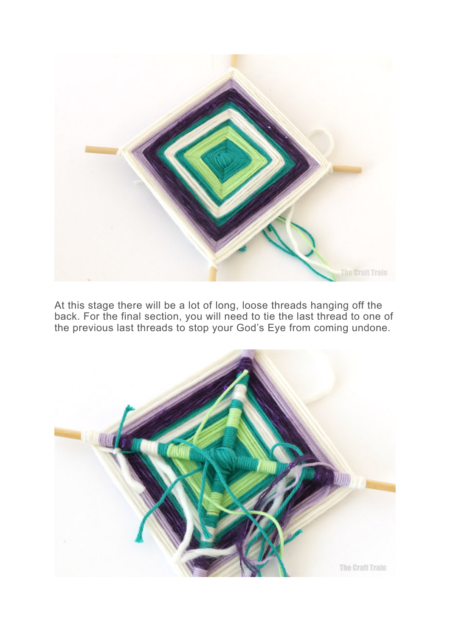![](_page_5_Picture_0.jpeg)

At this stage there will be a lot of long, loose threads hanging off the back. For the final section, you will need to tie the last thread to one of the previous last threads to stop your God's Eye from coming undone.

![](_page_5_Picture_2.jpeg)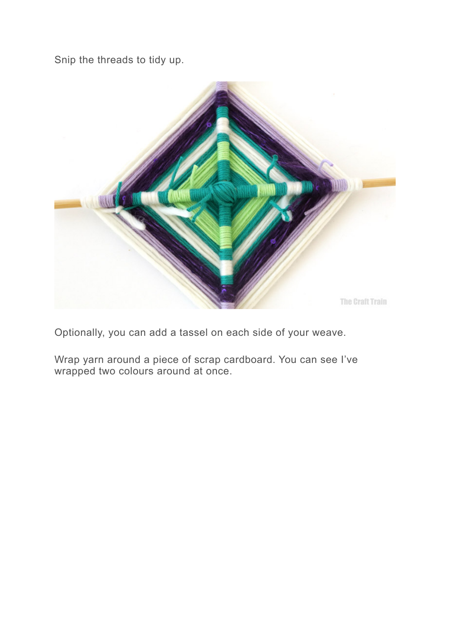Snip the threads to tidy up.

![](_page_6_Picture_1.jpeg)

Optionally, you can add a tassel on each side of your weave.

Wrap yarn around a piece of scrap cardboard. You can see I've wrapped two colours around at once.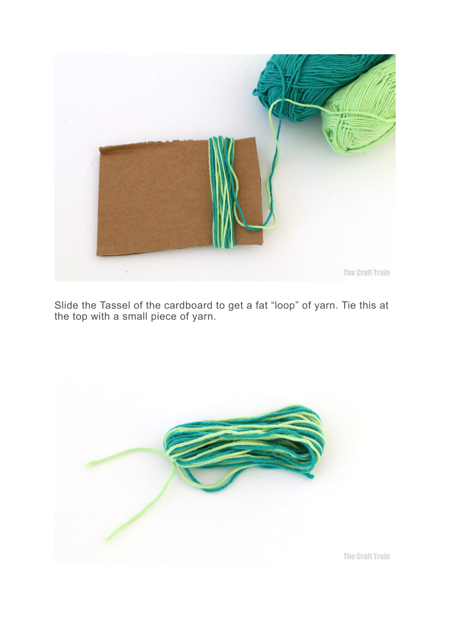![](_page_7_Picture_0.jpeg)

Slide the Tassel of the cardboard to get a fat "loop" of yarn. Tie this at the top with a small piece of yarn.

![](_page_7_Picture_2.jpeg)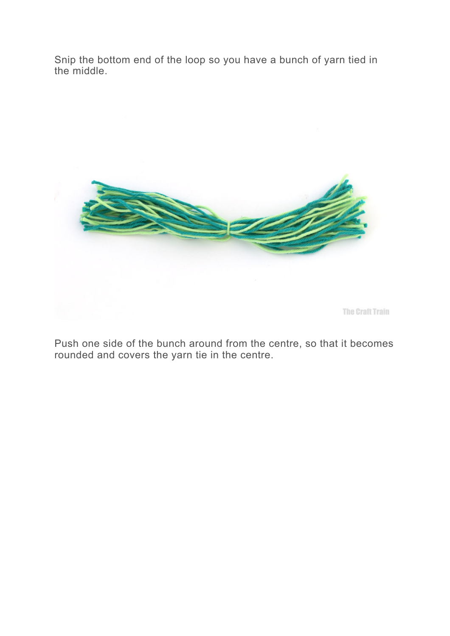Snip the bottom end of the loop so you have a bunch of yarn tied in the middle.

![](_page_8_Picture_1.jpeg)

Push one side of the bunch around from the centre, so that it becomes rounded and covers the yarn tie in the centre.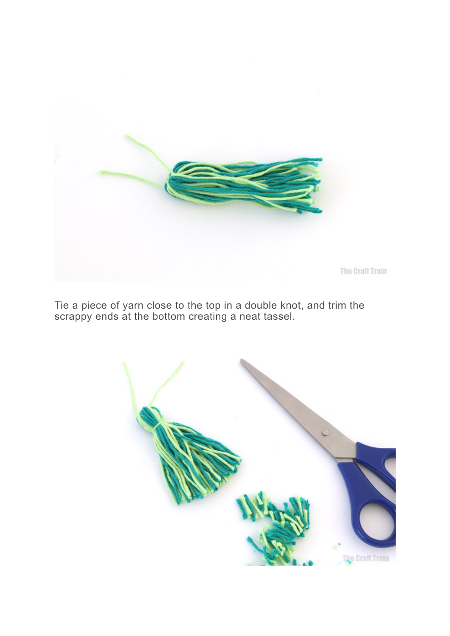![](_page_9_Picture_0.jpeg)

Tie a piece of yarn close to the top in a double knot, and trim the scrappy ends at the bottom creating a neat tassel.

![](_page_9_Picture_2.jpeg)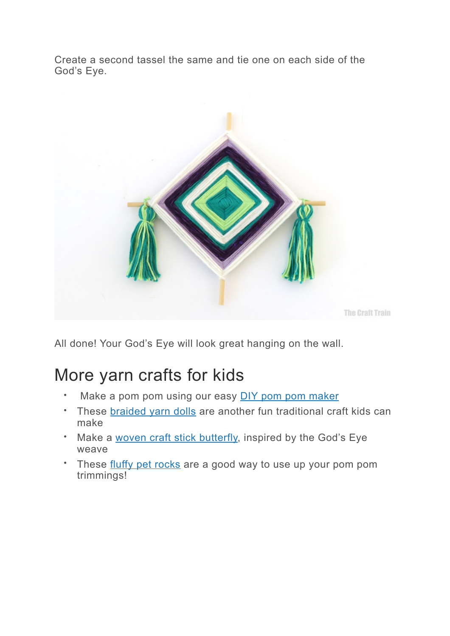Create a second tassel the same and tie one on each side of the God's Eye.

![](_page_10_Picture_1.jpeg)

All done! Your God's Eye will look great hanging on the wall.

## More yarn crafts for kids

- Make a pom pom using our easy **[DIY pom pom maker](https://www.thecrafttrain.com/diy-cardboard-pom-pom-maker/)**
- These [braided yarn dolls](https://www.thecrafttrain.com/braided-yarn-dolls/) are another fun traditional craft kids can make
- Make a [woven craft stick butterfly](https://www.thecrafttrain.com/woven-craft-stick-butterflies/), inspired by the God's Eye weave
- These [fluffy pet rocks](https://www.thecrafttrain.com/fluffy-pet-rocks/) are a good way to use up your pom pom trimmings!